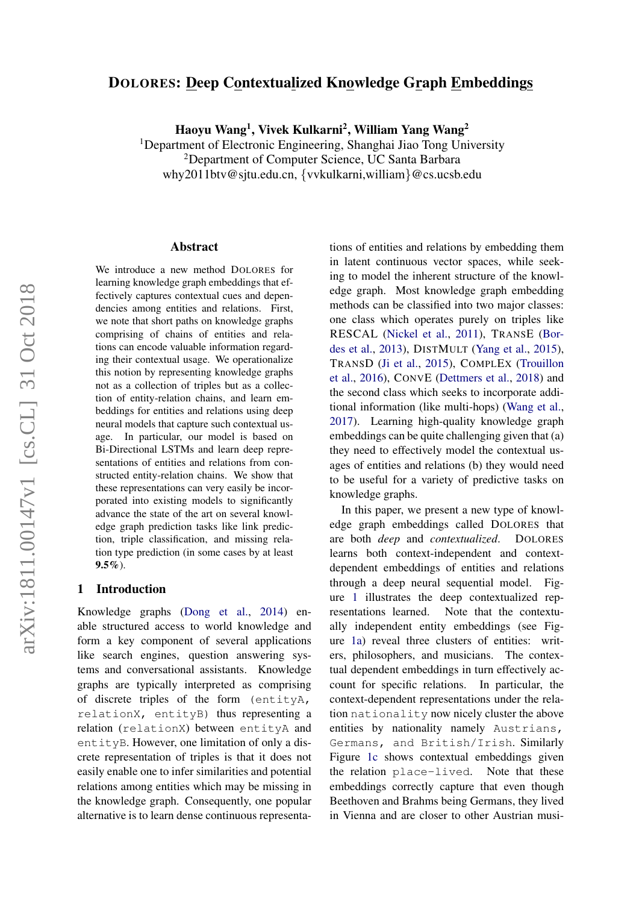# DOLORES: Deep Contextualized Knowledge Graph Embeddings

Haoyu Wang<sup>1</sup>, Vivek Kulkarni<sup>2</sup>, William Yang Wang<sup>2</sup>

<sup>1</sup>Department of Electronic Engineering, Shanghai Jiao Tong University <sup>2</sup>Department of Computer Science, UC Santa Barbara why2011btv@sjtu.edu.cn, {vvkulkarni,william}@cs.ucsb.edu

#### Abstract

We introduce a new method DOLORES for learning knowledge graph embeddings that effectively captures contextual cues and dependencies among entities and relations. First, we note that short paths on knowledge graphs comprising of chains of entities and relations can encode valuable information regarding their contextual usage. We operationalize this notion by representing knowledge graphs not as a collection of triples but as a collection of entity-relation chains, and learn embeddings for entities and relations using deep neural models that capture such contextual usage. In particular, our model is based on Bi-Directional LSTMs and learn deep representations of entities and relations from constructed entity-relation chains. We show that these representations can very easily be incorporated into existing models to significantly advance the state of the art on several knowledge graph prediction tasks like link prediction, triple classification, and missing relation type prediction (in some cases by at least  $9.5\%$ ).

## 1 Introduction

Knowledge graphs [\(Dong et al.,](#page-9-0) [2014\)](#page-9-0) enable structured access to world knowledge and form a key component of several applications like search engines, question answering systems and conversational assistants. Knowledge graphs are typically interpreted as comprising of discrete triples of the form (entityA, relationX, entityB) thus representing a relation (relationX) between entityA and entityB. However, one limitation of only a discrete representation of triples is that it does not easily enable one to infer similarities and potential relations among entities which may be missing in the knowledge graph. Consequently, one popular alternative is to learn dense continuous representations of entities and relations by embedding them in latent continuous vector spaces, while seeking to model the inherent structure of the knowledge graph. Most knowledge graph embedding methods can be classified into two major classes: one class which operates purely on triples like RESCAL [\(Nickel et al.,](#page-9-1) [2011\)](#page-9-1), TRANSE [\(Bor](#page-8-0)[des et al.,](#page-8-0) [2013\)](#page-8-0), DISTMULT [\(Yang et al.,](#page-9-2) [2015\)](#page-9-2), TRANSD [\(Ji et al.,](#page-9-3) [2015\)](#page-9-3), COMPLEX [\(Trouillon](#page-9-4) [et al.,](#page-9-4) [2016\)](#page-9-4), CONVE [\(Dettmers et al.,](#page-8-1) [2018\)](#page-8-1) and the second class which seeks to incorporate additional information (like multi-hops) [\(Wang et al.,](#page-9-5) [2017\)](#page-9-5). Learning high-quality knowledge graph embeddings can be quite challenging given that (a) they need to effectively model the contextual usages of entities and relations (b) they would need to be useful for a variety of predictive tasks on knowledge graphs.

In this paper, we present a new type of knowledge graph embeddings called DOLORES that are both *deep* and *contextualized*. DOLORES learns both context-independent and contextdependent embeddings of entities and relations through a deep neural sequential model. Figure [1](#page-1-0) illustrates the deep contextualized representations learned. Note that the contextually independent entity embeddings (see Figure [1a\)](#page-1-0) reveal three clusters of entities: writers, philosophers, and musicians. The contextual dependent embeddings in turn effectively account for specific relations. In particular, the context-dependent representations under the relation nationality now nicely cluster the above entities by nationality namely Austrians, Germans, and British/Irish. Similarly Figure [1c](#page-1-0) shows contextual embeddings given the relation place-lived. Note that these embeddings correctly capture that even though Beethoven and Brahms being Germans, they lived in Vienna and are closer to other Austrian musi-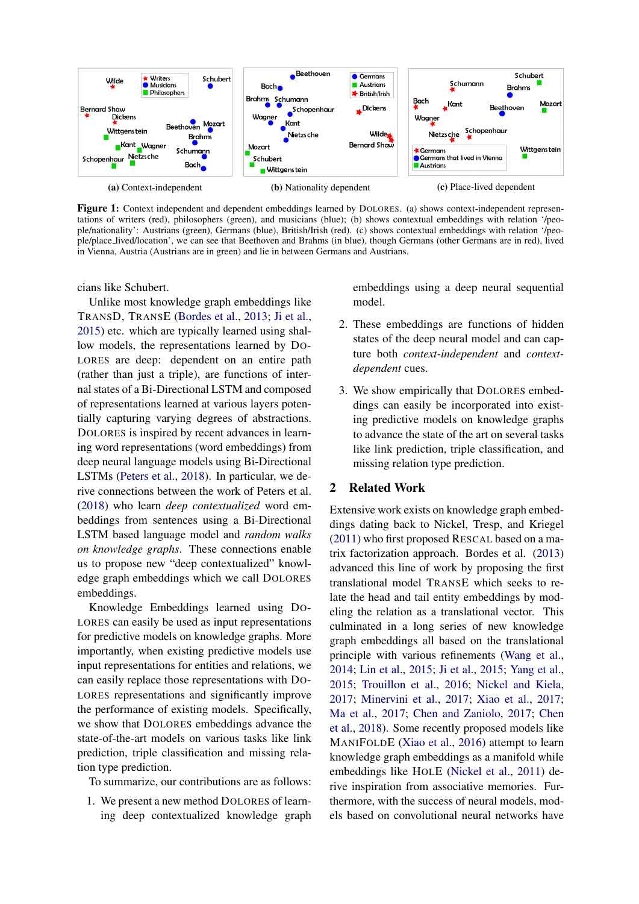<span id="page-1-0"></span>

Figure 1: Context independent and dependent embeddings learned by DOLORES. (a) shows context-independent representations of writers (red), philosophers (green), and musicians (blue); (b) shows contextual embeddings with relation '/people/nationality': Austrians (green), Germans (blue), British/Irish (red). (c) shows contextual embeddings with relation '/people/place lived/location', we can see that Beethoven and Brahms (in blue), though Germans (other Germans are in red), lived in Vienna, Austria (Austrians are in green) and lie in between Germans and Austrians.

cians like Schubert.

Unlike most knowledge graph embeddings like TRANSD, TRANSE [\(Bordes et al.,](#page-8-0) [2013;](#page-8-0) [Ji et al.,](#page-9-3) [2015\)](#page-9-3) etc. which are typically learned using shallow models, the representations learned by DO-LORES are deep: dependent on an entire path (rather than just a triple), are functions of internal states of a Bi-Directional LSTM and composed of representations learned at various layers potentially capturing varying degrees of abstractions. DOLORES is inspired by recent advances in learning word representations (word embeddings) from deep neural language models using Bi-Directional LSTMs [\(Peters et al.,](#page-9-6) [2018\)](#page-9-6). In particular, we derive connections between the work of Peters et al. [\(2018\)](#page-9-6) who learn *deep contextualized* word embeddings from sentences using a Bi-Directional LSTM based language model and *random walks on knowledge graphs*. These connections enable us to propose new "deep contextualized" knowledge graph embeddings which we call DOLORES embeddings.

Knowledge Embeddings learned using DO-LORES can easily be used as input representations for predictive models on knowledge graphs. More importantly, when existing predictive models use input representations for entities and relations, we can easily replace those representations with DO-LORES representations and significantly improve the performance of existing models. Specifically, we show that DOLORES embeddings advance the state-of-the-art models on various tasks like link prediction, triple classification and missing relation type prediction.

To summarize, our contributions are as follows:

1. We present a new method DOLORES of learning deep contextualized knowledge graph embeddings using a deep neural sequential model.

- 2. These embeddings are functions of hidden states of the deep neural model and can capture both *context-independent* and *contextdependent* cues.
- 3. We show empirically that DOLORES embeddings can easily be incorporated into existing predictive models on knowledge graphs to advance the state of the art on several tasks like link prediction, triple classification, and missing relation type prediction.

# 2 Related Work

Extensive work exists on knowledge graph embeddings dating back to Nickel, Tresp, and Kriegel [\(2011\)](#page-9-1) who first proposed RESCAL based on a matrix factorization approach. Bordes et al. [\(2013\)](#page-8-0) advanced this line of work by proposing the first translational model TRANSE which seeks to relate the head and tail entity embeddings by modeling the relation as a translational vector. This culminated in a long series of new knowledge graph embeddings all based on the translational principle with various refinements [\(Wang et al.,](#page-9-7) [2014;](#page-9-7) [Lin et al.,](#page-9-8) [2015;](#page-9-8) [Ji et al.,](#page-9-3) [2015;](#page-9-3) [Yang et al.,](#page-9-2) [2015;](#page-9-2) [Trouillon et al.,](#page-9-4) [2016;](#page-9-4) [Nickel and Kiela,](#page-9-9) [2017;](#page-9-9) [Minervini et al.,](#page-9-10) [2017;](#page-9-10) [Xiao et al.,](#page-9-11) [2017;](#page-9-11) [Ma et al.,](#page-9-12) [2017;](#page-9-12) [Chen and Zaniolo,](#page-8-2) [2017;](#page-8-2) [Chen](#page-8-3) [et al.,](#page-8-3) [2018\)](#page-8-3). Some recently proposed models like MANIFOLDE [\(Xiao et al.,](#page-9-13) [2016\)](#page-9-13) attempt to learn knowledge graph embeddings as a manifold while embeddings like HOLE [\(Nickel et al.,](#page-9-1) [2011\)](#page-9-1) derive inspiration from associative memories. Furthermore, with the success of neural models, models based on convolutional neural networks have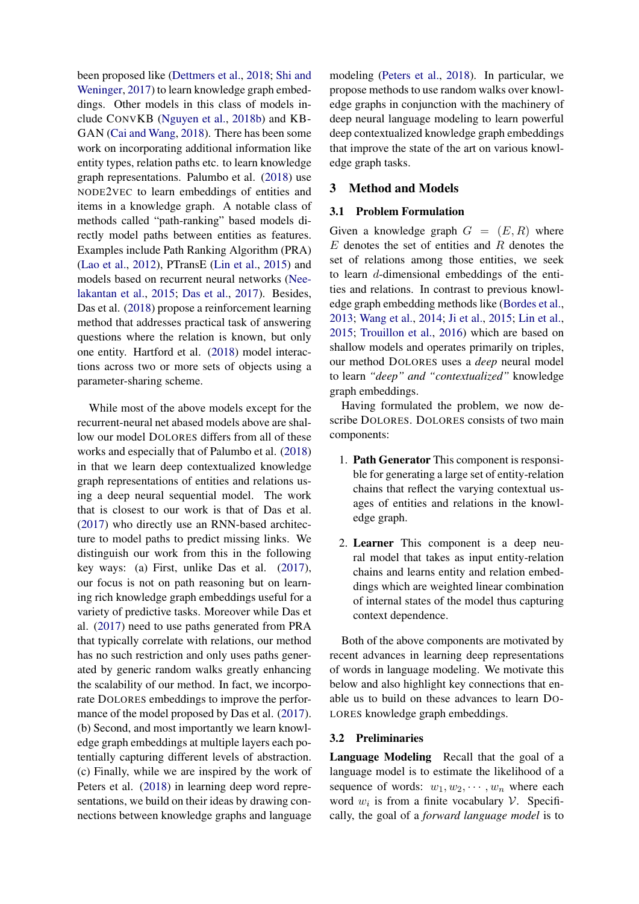been proposed like [\(Dettmers et al.,](#page-8-1) [2018;](#page-8-1) [Shi and](#page-9-14) [Weninger,](#page-9-14) [2017\)](#page-9-14) to learn knowledge graph embeddings. Other models in this class of models include CONVKB [\(Nguyen et al.,](#page-9-15) [2018b\)](#page-9-15) and KB-GAN [\(Cai and Wang,](#page-8-4) [2018\)](#page-8-4). There has been some work on incorporating additional information like entity types, relation paths etc. to learn knowledge graph representations. Palumbo et al. [\(2018\)](#page-9-16) use NODE2VEC to learn embeddings of entities and items in a knowledge graph. A notable class of methods called "path-ranking" based models directly model paths between entities as features. Examples include Path Ranking Algorithm (PRA) [\(Lao et al.,](#page-9-17) [2012\)](#page-9-17), PTransE [\(Lin et al.,](#page-9-8) [2015\)](#page-9-8) and models based on recurrent neural networks [\(Nee](#page-9-18)[lakantan et al.,](#page-9-18) [2015;](#page-9-18) [Das et al.,](#page-8-5) [2017\)](#page-8-5). Besides, Das et al. [\(2018\)](#page-8-6) propose a reinforcement learning method that addresses practical task of answering questions where the relation is known, but only one entity. Hartford et al. [\(2018\)](#page-9-19) model interactions across two or more sets of objects using a parameter-sharing scheme.

While most of the above models except for the recurrent-neural net abased models above are shallow our model DOLORES differs from all of these works and especially that of Palumbo et al. [\(2018\)](#page-9-16) in that we learn deep contextualized knowledge graph representations of entities and relations using a deep neural sequential model. The work that is closest to our work is that of Das et al. [\(2017\)](#page-8-5) who directly use an RNN-based architecture to model paths to predict missing links. We distinguish our work from this in the following key ways: (a) First, unlike Das et al. [\(2017\)](#page-8-5), our focus is not on path reasoning but on learning rich knowledge graph embeddings useful for a variety of predictive tasks. Moreover while Das et al. [\(2017\)](#page-8-5) need to use paths generated from PRA that typically correlate with relations, our method has no such restriction and only uses paths generated by generic random walks greatly enhancing the scalability of our method. In fact, we incorporate DOLORES embeddings to improve the perfor-mance of the model proposed by Das et al. [\(2017\)](#page-8-5). (b) Second, and most importantly we learn knowledge graph embeddings at multiple layers each potentially capturing different levels of abstraction. (c) Finally, while we are inspired by the work of Peters et al. [\(2018\)](#page-9-6) in learning deep word representations, we build on their ideas by drawing connections between knowledge graphs and language

modeling [\(Peters et al.,](#page-9-6) [2018\)](#page-9-6). In particular, we propose methods to use random walks over knowledge graphs in conjunction with the machinery of deep neural language modeling to learn powerful deep contextualized knowledge graph embeddings that improve the state of the art on various knowledge graph tasks.

# 3 Method and Models

#### 3.1 Problem Formulation

Given a knowledge graph  $G = (E, R)$  where  $E$  denotes the set of entities and  $R$  denotes the set of relations among those entities, we seek to learn d-dimensional embeddings of the entities and relations. In contrast to previous knowledge graph embedding methods like [\(Bordes et al.,](#page-8-0) [2013;](#page-8-0) [Wang et al.,](#page-9-7) [2014;](#page-9-7) [Ji et al.,](#page-9-3) [2015;](#page-9-3) [Lin et al.,](#page-9-8) [2015;](#page-9-8) [Trouillon et al.,](#page-9-4) [2016\)](#page-9-4) which are based on shallow models and operates primarily on triples, our method DOLORES uses a *deep* neural model to learn *"deep" and "contextualized"* knowledge graph embeddings.

Having formulated the problem, we now describe DOLORES. DOLORES consists of two main components:

- 1. Path Generator This component is responsible for generating a large set of entity-relation chains that reflect the varying contextual usages of entities and relations in the knowledge graph.
- 2. Learner This component is a deep neural model that takes as input entity-relation chains and learns entity and relation embeddings which are weighted linear combination of internal states of the model thus capturing context dependence.

Both of the above components are motivated by recent advances in learning deep representations of words in language modeling. We motivate this below and also highlight key connections that enable us to build on these advances to learn DO-LORES knowledge graph embeddings.

# 3.2 Preliminaries

Language Modeling Recall that the goal of a language model is to estimate the likelihood of a sequence of words:  $w_1, w_2, \dots, w_n$  where each word  $w_i$  is from a finite vocabulary  $V$ . Specifically, the goal of a *forward language model* is to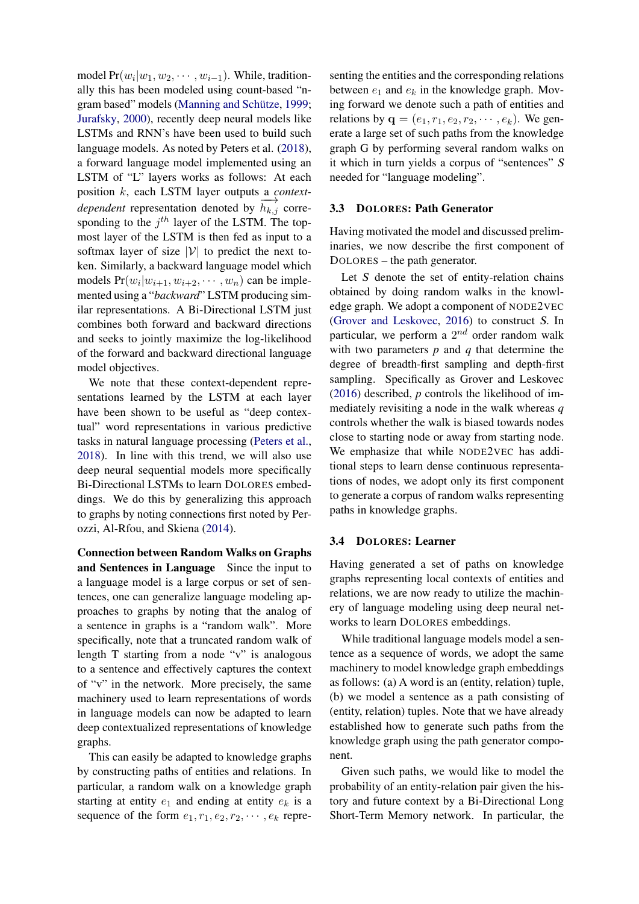model  $Pr(w_i|w_1, w_2, \dots, w_{i-1})$ . While, traditionally this has been modeled using count-based "n-gram based" models (Manning and Schütze, [1999;](#page-9-20) [Jurafsky,](#page-9-21) [2000\)](#page-9-21), recently deep neural models like LSTMs and RNN's have been used to build such language models. As noted by Peters et al. [\(2018\)](#page-9-6), a forward language model implemented using an LSTM of "L" layers works as follows: At each position k, each LSTM layer outputs a *contextdependent* representation denoted by  $\overrightarrow{h_{k,j}}$  corresponding to the  $j^{th}$  layer of the LSTM. The topmost layer of the LSTM is then fed as input to a softmax layer of size  $|V|$  to predict the next token. Similarly, a backward language model which models  $Pr(w_i|w_{i+1}, w_{i+2}, \dots, w_n)$  can be implemented using a "*backward*" LSTM producing similar representations. A Bi-Directional LSTM just combines both forward and backward directions and seeks to jointly maximize the log-likelihood of the forward and backward directional language model objectives.

We note that these context-dependent representations learned by the LSTM at each layer have been shown to be useful as "deep contextual" word representations in various predictive tasks in natural language processing [\(Peters et al.,](#page-9-6) [2018\)](#page-9-6). In line with this trend, we will also use deep neural sequential models more specifically Bi-Directional LSTMs to learn DOLORES embeddings. We do this by generalizing this approach to graphs by noting connections first noted by Perozzi, Al-Rfou, and Skiena [\(2014\)](#page-9-22).

Connection between Random Walks on Graphs and Sentences in Language Since the input to a language model is a large corpus or set of sentences, one can generalize language modeling approaches to graphs by noting that the analog of a sentence in graphs is a "random walk". More specifically, note that a truncated random walk of length T starting from a node "v" is analogous to a sentence and effectively captures the context of "v" in the network. More precisely, the same machinery used to learn representations of words in language models can now be adapted to learn deep contextualized representations of knowledge graphs.

This can easily be adapted to knowledge graphs by constructing paths of entities and relations. In particular, a random walk on a knowledge graph starting at entity  $e_1$  and ending at entity  $e_k$  is a sequence of the form  $e_1, r_1, e_2, r_2, \cdots, e_k$  repre-

senting the entities and the corresponding relations between  $e_1$  and  $e_k$  in the knowledge graph. Moving forward we denote such a path of entities and relations by  $\mathbf{q} = (e_1, r_1, e_2, r_2, \cdots, e_k)$ . We generate a large set of such paths from the knowledge graph G by performing several random walks on it which in turn yields a corpus of "sentences" S needed for "language modeling".

### 3.3 DOLORES: Path Generator

Having motivated the model and discussed preliminaries, we now describe the first component of DOLORES – the path generator.

Let S denote the set of entity-relation chains obtained by doing random walks in the knowledge graph. We adopt a component of NODE2VEC [\(Grover and Leskovec,](#page-9-23) [2016\)](#page-9-23) to construct S. In particular, we perform a  $2^{nd}$  order random walk with two parameters *p* and *q* that determine the degree of breadth-first sampling and depth-first sampling. Specifically as Grover and Leskovec [\(2016\)](#page-9-23) described, *p* controls the likelihood of immediately revisiting a node in the walk whereas *q* controls whether the walk is biased towards nodes close to starting node or away from starting node. We emphasize that while NODE2VEC has additional steps to learn dense continuous representations of nodes, we adopt only its first component to generate a corpus of random walks representing paths in knowledge graphs.

#### 3.4 DOLORES: Learner

Having generated a set of paths on knowledge graphs representing local contexts of entities and relations, we are now ready to utilize the machinery of language modeling using deep neural networks to learn DOLORES embeddings.

While traditional language models model a sentence as a sequence of words, we adopt the same machinery to model knowledge graph embeddings as follows: (a) A word is an (entity, relation) tuple, (b) we model a sentence as a path consisting of (entity, relation) tuples. Note that we have already established how to generate such paths from the knowledge graph using the path generator component.

Given such paths, we would like to model the probability of an entity-relation pair given the history and future context by a Bi-Directional Long Short-Term Memory network. In particular, the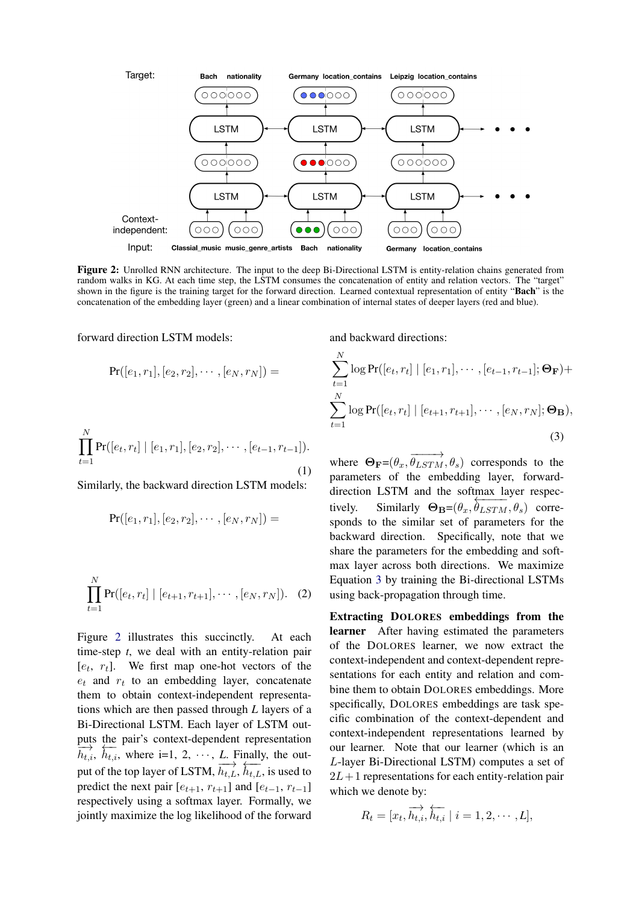<span id="page-4-0"></span>

Figure 2: Unrolled RNN architecture. The input to the deep Bi-Directional LSTM is entity-relation chains generated from random walks in KG. At each time step, the LSTM consumes the concatenation of entity and relation vectors. The "target" shown in the figure is the training target for the forward direction. Learned contextual representation of entity "Bach" is the concatenation of the embedding layer (green) and a linear combination of internal states of deeper layers (red and blue).

forward direction LSTM models:

$$
\Pr([e_1,r_1],[e_2,r_2],\cdots,[e_N,r_N]) =
$$

$$
\prod_{t=1}^{N} \Pr([e_t, r_t] \mid [e_1, r_1], [e_2, r_2], \cdots, [e_{t-1}, r_{t-1}]).
$$
\n(1)

Similarly, the backward direction LSTM models:

$$
\Pr([e_1, r_1], [e_2, r_2], \cdots, [e_N, r_N]) =
$$

$$
\prod_{t=1}^{N} \Pr([e_t, r_t] \mid [e_{t+1}, r_{t+1}], \cdots, [e_N, r_N]). \quad (2)
$$

Figure [2](#page-4-0) illustrates this succinctly. At each time-step *t*, we deal with an entity-relation pair  $[e_t, r_t]$ . We first map one-hot vectors of the  $e_t$  and  $r_t$  to an embedding layer, concatenate them to obtain context-independent representations which are then passed through *L* layers of a Bi-Directional LSTM. Each layer of LSTM outputs the pair's context-dependent representation  $\frac{\partial u}{\partial h_{t,i}}$ ,  $\frac{\partial u}{\partial h_{t,i}}$ , where i=1, 2, · · · , *L*. Finally, the output of the top layer of LSTM,  $\overrightarrow{h_{t,L}}, \overrightarrow{h_{t,L}},$  is used to predict the next pair  $[e_{t+1}, r_{t+1}]$  and  $[e_{t-1}, r_{t-1}]$ respectively using a softmax layer. Formally, we jointly maximize the log likelihood of the forward <span id="page-4-1"></span>and backward directions:

$$
\sum_{t=1}^{N} \log \Pr([e_t, r_t] \mid [e_1, r_1], \cdots, [e_{t-1}, r_{t-1}]; \Theta_{\mathbf{F}}) +
$$
  

$$
\sum_{t=1}^{N} \log \Pr([e_t, r_t] \mid [e_{t+1}, r_{t+1}], \cdots, [e_N, r_N]; \Theta_{\mathbf{B}}),
$$
  
(3)

where  $\Theta_{\mathbf{F}} = (\theta_x, \overrightarrow{\theta_{LSTM}}, \theta_s)$  corresponds to the parameters of the embedding layer, forwarddirection LSTM and the softmax layer respectively. Similarly  $\Theta_{\mathbf{B}} = (\theta_x, \theta_{LSTM}, \theta_s)$  corresponds to the similar set of parameters for the backward direction. Specifically, note that we share the parameters for the embedding and softmax layer across both directions. We maximize Equation [3](#page-4-1) by training the Bi-directional LSTMs using back-propagation through time.

Extracting DOLORES embeddings from the learner After having estimated the parameters of the DOLORES learner, we now extract the context-independent and context-dependent representations for each entity and relation and combine them to obtain DOLORES embeddings. More specifically, DOLORES embeddings are task specific combination of the context-dependent and context-independent representations learned by our learner. Note that our learner (which is an L-layer Bi-Directional LSTM) computes a set of  $2L+1$  representations for each entity-relation pair which we denote by:

$$
R_t = [x_t, \overrightarrow{h_{t,i}}, \overleftarrow{h_{t,i}} \mid i = 1, 2, \cdots, L],
$$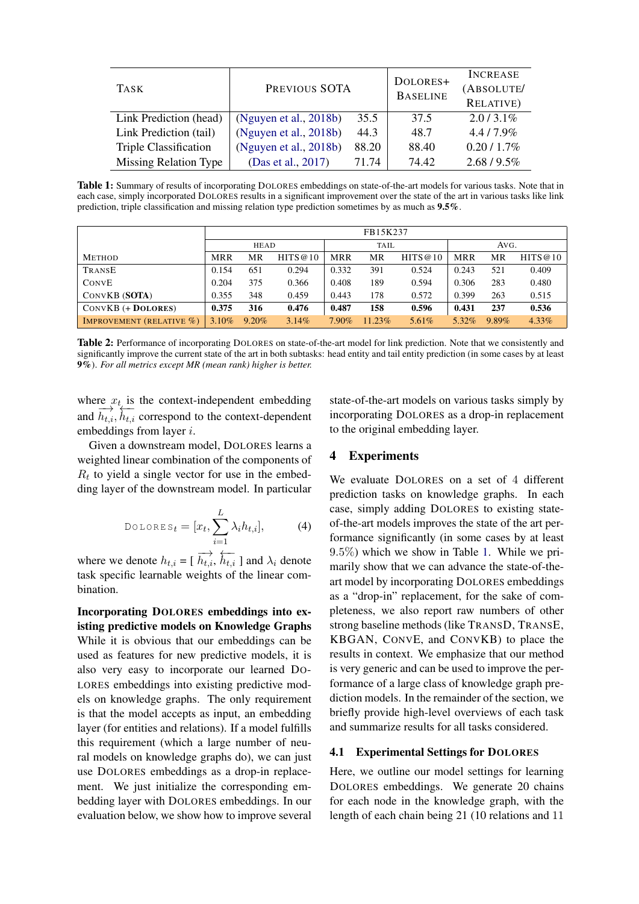<span id="page-5-0"></span>

| <b>TASK</b>            | PREVIOUS SOTA          | DOLORES+<br><b>BASELINE</b> | <b>INCREASE</b><br>(ABSOLUTE/<br><b>RELATIVE)</b> |              |
|------------------------|------------------------|-----------------------------|---------------------------------------------------|--------------|
| Link Prediction (head) | (Nguyen et al., 2018b) | 35.5                        | 37.5                                              | $2.0/3.1\%$  |
| Link Prediction (tail) | (Nguyen et al., 2018b) | 44.3                        | 48.7                                              | $4.4/7.9\%$  |
| Triple Classification  | (Nguyen et al., 2018b) | 88.20                       | 88.40                                             | $0.20/1.7\%$ |
| Missing Relation Type  | (Das et al., 2017)     | 71.74                       | 74.42                                             | $2.68/9.5\%$ |

Table 1: Summary of results of incorporating DOLORES embeddings on state-of-the-art models for various tasks. Note that in each case, simply incorporated DOLORES results in a significant improvement over the state of the art in various tasks like link prediction, triple classification and missing relation type prediction sometimes by as much as 9.5%.

<span id="page-5-1"></span>

|                                 | FB15K237   |          |          |            |        |          |            |       |          |
|---------------------------------|------------|----------|----------|------------|--------|----------|------------|-------|----------|
|                                 | HEAD       |          | TAIL     |            | AVG.   |          |            |       |          |
| <b>METHOD</b>                   | <b>MRR</b> | МR       | HITS@10  | <b>MRR</b> | MR     | HITS@10  | <b>MRR</b> | MR    | HITS@10  |
| TRANSE                          | 0.154      | 651      | 0.294    | 0.332      | 391    | 0.524    | 0.243      | 521   | 0.409    |
| CONVE                           | 0.204      | 375      | 0.366    | 0.408      | 189    | 0.594    | 0.306      | 283   | 0.480    |
| CONVKB (SOTA)                   | 0.355      | 348      | 0.459    | 0.443      | 178    | 0.572    | 0.399      | 263   | 0.515    |
| $CONVKB (+ DOLORES)$            | 0.375      | 316      | 0.476    | 0.487      | 158    | 0.596    | 0.431      | 237   | 0.536    |
| <b>IMPROVEMENT (RELATIVE %)</b> | $3.10\%$   | $9.20\%$ | $3.14\%$ | $7.90\%$   | 11.23% | $5.61\%$ | 5.32%      | 9.89% | $4.33\%$ |

Table 2: Performance of incorporating DOLORES on state-of-the-art model for link prediction. Note that we consistently and significantly improve the current state of the art in both subtasks: head entity and tail entity prediction (in some cases by at least 9%). *For all metrics except MR (mean rank) higher is better.*

where  $x_{t_i}$  is the context-independent embedding and  $\overline{h_{t,i}}$ ,  $\overline{h_{t,i}}$  correspond to the context-dependent embeddings from layer i.

Given a downstream model, DOLORES learns a weighted linear combination of the components of  $R_t$  to yield a single vector for use in the embedding layer of the downstream model. In particular

DolORES<sub>t</sub> = 
$$
[x_t, \sum_{i=1}^{L} \lambda_i h_{t,i}],
$$
 (4)

where we denote  $h_{t,i} = [\overrightarrow{h_{t,i}}, \overleftarrow{h_{t,i}}]$  and  $\lambda_i$  denote task specific learnable weights of the linear combination.

Incorporating DOLORES embeddings into existing predictive models on Knowledge Graphs While it is obvious that our embeddings can be used as features for new predictive models, it is also very easy to incorporate our learned DO-LORES embeddings into existing predictive models on knowledge graphs. The only requirement is that the model accepts as input, an embedding layer (for entities and relations). If a model fulfills this requirement (which a large number of neural models on knowledge graphs do), we can just use DOLORES embeddings as a drop-in replacement. We just initialize the corresponding embedding layer with DOLORES embeddings. In our evaluation below, we show how to improve several

state-of-the-art models on various tasks simply by incorporating DOLORES as a drop-in replacement to the original embedding layer.

# 4 Experiments

We evaluate DOLORES on a set of 4 different prediction tasks on knowledge graphs. In each case, simply adding DOLORES to existing stateof-the-art models improves the state of the art performance significantly (in some cases by at least 9.5%) which we show in Table [1.](#page-5-0) While we primarily show that we can advance the state-of-theart model by incorporating DOLORES embeddings as a "drop-in" replacement, for the sake of completeness, we also report raw numbers of other strong baseline methods (like TRANSD, TRANSE, KBGAN, CONVE, and CONVKB) to place the results in context. We emphasize that our method is very generic and can be used to improve the performance of a large class of knowledge graph prediction models. In the remainder of the section, we briefly provide high-level overviews of each task and summarize results for all tasks considered.

## 4.1 Experimental Settings for DOLORES

Here, we outline our model settings for learning DOLORES embeddings. We generate 20 chains for each node in the knowledge graph, with the length of each chain being 21 (10 relations and 11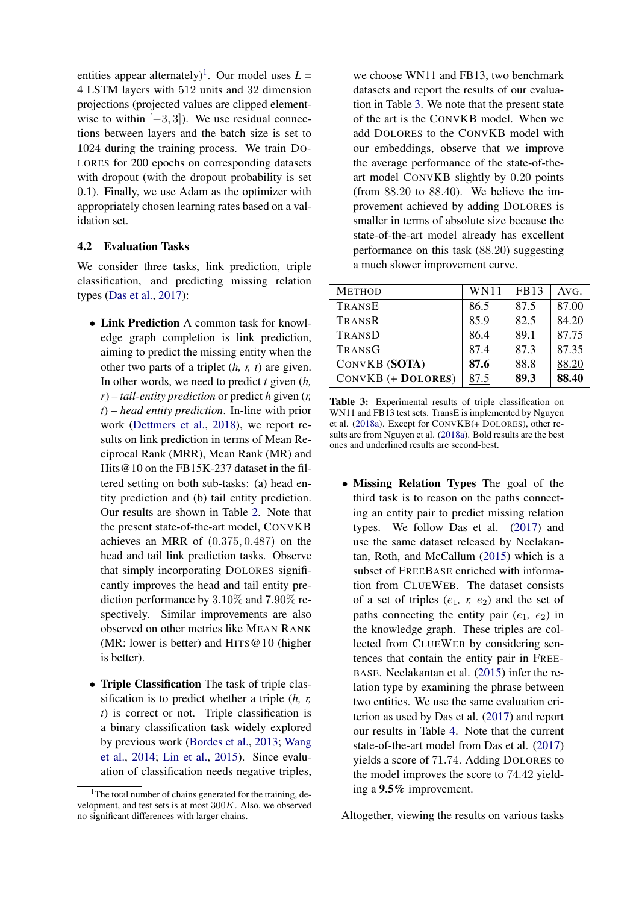entities appear alternately)<sup>[1](#page-6-0)</sup>. Our model uses  $L =$ 4 LSTM layers with 512 units and 32 dimension projections (projected values are clipped elementwise to within  $[-3, 3]$ ). We use residual connections between layers and the batch size is set to 1024 during the training process. We train DO-LORES for 200 epochs on corresponding datasets with dropout (with the dropout probability is set 0.1). Finally, we use Adam as the optimizer with appropriately chosen learning rates based on a validation set.

# 4.2 Evaluation Tasks

We consider three tasks, link prediction, triple classification, and predicting missing relation types [\(Das et al.,](#page-8-5) [2017\)](#page-8-5):

- Link Prediction A common task for knowledge graph completion is link prediction, aiming to predict the missing entity when the other two parts of a triplet (*h, r, t*) are given. In other words, we need to predict *t* given (*h, r*) – *tail-entity prediction* or predict *h* given (*r, t*) – *head entity prediction*. In-line with prior work [\(Dettmers et al.,](#page-8-1) [2018\)](#page-8-1), we report results on link prediction in terms of Mean Reciprocal Rank (MRR), Mean Rank (MR) and Hits@10 on the FB15K-237 dataset in the filtered setting on both sub-tasks: (a) head entity prediction and (b) tail entity prediction. Our results are shown in Table [2.](#page-5-1) Note that the present state-of-the-art model, CONVKB achieves an MRR of (0.375, 0.487) on the head and tail link prediction tasks. Observe that simply incorporating DOLORES significantly improves the head and tail entity prediction performance by 3.10% and 7.90% respectively. Similar improvements are also observed on other metrics like MEAN RANK (MR: lower is better) and HITS  $@10$  (higher is better).
- Triple Classification The task of triple classification is to predict whether a triple (*h, r, t*) is correct or not. Triple classification is a binary classification task widely explored by previous work [\(Bordes et al.,](#page-8-0) [2013;](#page-8-0) [Wang](#page-9-7) [et al.,](#page-9-7) [2014;](#page-9-7) [Lin et al.,](#page-9-8) [2015\)](#page-9-8). Since evaluation of classification needs negative triples,

we choose WN11 and FB13, two benchmark datasets and report the results of our evaluation in Table [3.](#page-6-1) We note that the present state of the art is the CONVKB model. When we add DOLORES to the CONVKB model with our embeddings, observe that we improve the average performance of the state-of-theart model CONVKB slightly by 0.20 points (from 88.20 to 88.40). We believe the improvement achieved by adding DOLORES is smaller in terms of absolute size because the state-of-the-art model already has excellent performance on this task (88.20) suggesting a much slower improvement curve.

<span id="page-6-1"></span>

| <b>METHOD</b>             | <b>WN11</b> | <b>FB13</b> | AVG.  |
|---------------------------|-------------|-------------|-------|
| TRANSE                    | 86.5        | 87.5        | 87.00 |
| TRANSR                    | 85.9        | 82.5        | 84.20 |
| TRANSD                    | 86.4        | 89.1        | 87.75 |
| TRANSG                    | 87.4        | 87.3        | 87.35 |
| CONVKB (SOTA)             | 87.6        | 88.8        | 88.20 |
| <b>CONVKB</b> (+ DOLORES) | 87.5        | 89.3        | 88.40 |

Table 3: Experimental results of triple classification on WN11 and FB13 test sets. TransE is implemented by Nguyen et al. [\(2018a\)](#page-9-24). Except for CONVKB(+ DOLORES), other results are from Nguyen et al. [\(2018a\)](#page-9-24). Bold results are the best ones and underlined results are second-best.

• Missing Relation Types The goal of the third task is to reason on the paths connecting an entity pair to predict missing relation types. We follow Das et al. [\(2017\)](#page-8-5) and use the same dataset released by Neelakantan, Roth, and McCallum [\(2015\)](#page-9-18) which is a subset of FREEBASE enriched with information from CLUEWEB. The dataset consists of a set of triples  $(e_1, r, e_2)$  and the set of paths connecting the entity pair  $(e_1, e_2)$  in the knowledge graph. These triples are collected from CLUEWEB by considering sentences that contain the entity pair in FREE-BASE. Neelakantan et al. [\(2015\)](#page-9-18) infer the relation type by examining the phrase between two entities. We use the same evaluation criterion as used by Das et al. [\(2017\)](#page-8-5) and report our results in Table [4.](#page-7-0) Note that the current state-of-the-art model from Das et al. [\(2017\)](#page-8-5) yields a score of 71.74. Adding DOLORES to the model improves the score to 74.42 yielding a 9.5% improvement.

Altogether, viewing the results on various tasks

<span id="page-6-0"></span><sup>&</sup>lt;sup>1</sup>The total number of chains generated for the training, development, and test sets is at most 300K. Also, we observed no significant differences with larger chains.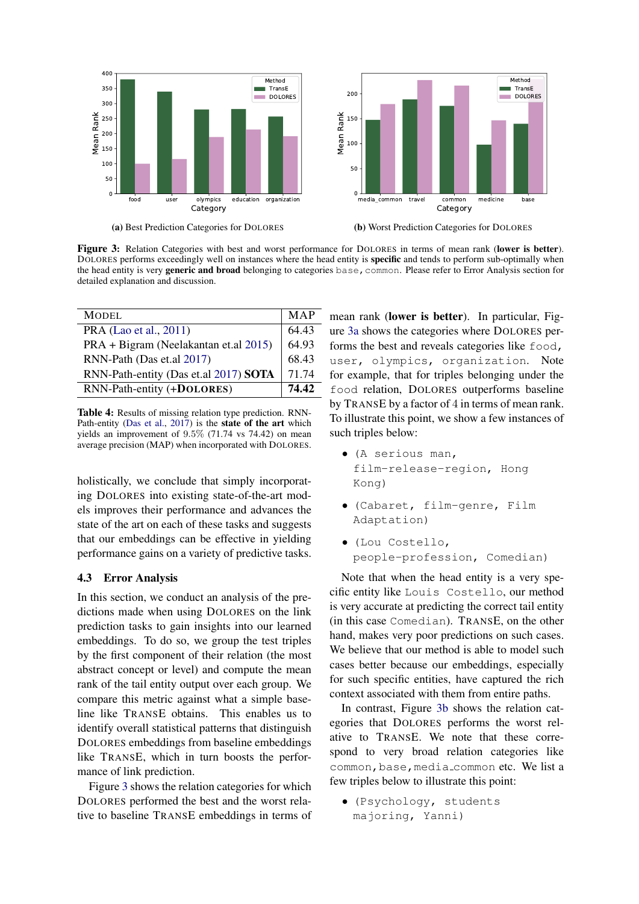<span id="page-7-1"></span>

Figure 3: Relation Categories with best and worst performance for DOLORES in terms of mean rank (lower is better). DOLORES performs exceedingly well on instances where the head entity is specific and tends to perform sub-optimally when the head entity is very generic and broad belonging to categories base, common. Please refer to Error Analysis section for detailed explanation and discussion.

<span id="page-7-0"></span>

| <b>MODEL</b>                          | MAP   |
|---------------------------------------|-------|
| PRA (Lao et al., 2011)                | 64.43 |
| PRA + Bigram (Neelakantan et.al 2015) | 64.93 |
| RNN-Path (Das et.al 2017)             | 68.43 |
| RNN-Path-entity (Das et.al 2017) SOTA | 71.74 |
| RNN-Path-entity (+DOLORES)            | 74.42 |
|                                       |       |

Table 4: Results of missing relation type prediction. RNN-Path-entity [\(Das et al.,](#page-8-5) [2017\)](#page-8-5) is the **state of the art** which yields an improvement of 9.5% (71.74 vs 74.42) on mean average precision (MAP) when incorporated with DOLORES.

holistically, we conclude that simply incorporating DOLORES into existing state-of-the-art models improves their performance and advances the state of the art on each of these tasks and suggests that our embeddings can be effective in yielding performance gains on a variety of predictive tasks.

## 4.3 Error Analysis

In this section, we conduct an analysis of the predictions made when using DOLORES on the link prediction tasks to gain insights into our learned embeddings. To do so, we group the test triples by the first component of their relation (the most abstract concept or level) and compute the mean rank of the tail entity output over each group. We compare this metric against what a simple baseline like TRANSE obtains. This enables us to identify overall statistical patterns that distinguish DOLORES embeddings from baseline embeddings like TRANSE, which in turn boosts the performance of link prediction.

Figure [3](#page-7-1) shows the relation categories for which DOLORES performed the best and the worst relative to baseline TRANSE embeddings in terms of mean rank (lower is better). In particular, Figure [3a](#page-7-1) shows the categories where DOLORES performs the best and reveals categories like food, user, olympics, organization. Note for example, that for triples belonging under the food relation, DOLORES outperforms baseline by TRANSE by a factor of 4 in terms of mean rank. To illustrate this point, we show a few instances of such triples below:

- (A serious man, film-release-region, Hong Kong)
- (Cabaret, film-genre, Film Adaptation)
- (Lou Costello, people-profession, Comedian)

Note that when the head entity is a very specific entity like Louis Costello, our method is very accurate at predicting the correct tail entity (in this case Comedian). TRANSE, on the other hand, makes very poor predictions on such cases. We believe that our method is able to model such cases better because our embeddings, especially for such specific entities, have captured the rich context associated with them from entire paths.

In contrast, Figure [3b](#page-7-1) shows the relation categories that DOLORES performs the worst relative to TRANSE. We note that these correspond to very broad relation categories like common, base, media\_common etc. We list a few triples below to illustrate this point:

• (Psychology, students majoring, Yanni)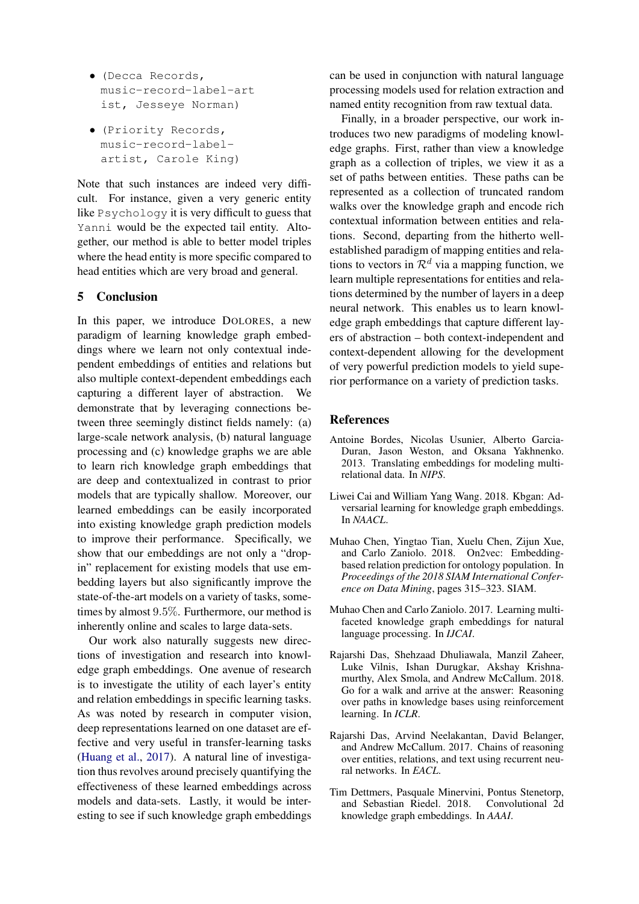- (Decca Records, music-record-label-art ist, Jesseye Norman)
- (Priority Records, music-record-labelartist, Carole King)

Note that such instances are indeed very difficult. For instance, given a very generic entity like Psychology it is very difficult to guess that Yanni would be the expected tail entity. Altogether, our method is able to better model triples where the head entity is more specific compared to head entities which are very broad and general.

## 5 Conclusion

In this paper, we introduce DOLORES, a new paradigm of learning knowledge graph embeddings where we learn not only contextual independent embeddings of entities and relations but also multiple context-dependent embeddings each capturing a different layer of abstraction. We demonstrate that by leveraging connections between three seemingly distinct fields namely: (a) large-scale network analysis, (b) natural language processing and (c) knowledge graphs we are able to learn rich knowledge graph embeddings that are deep and contextualized in contrast to prior models that are typically shallow. Moreover, our learned embeddings can be easily incorporated into existing knowledge graph prediction models to improve their performance. Specifically, we show that our embeddings are not only a "dropin" replacement for existing models that use embedding layers but also significantly improve the state-of-the-art models on a variety of tasks, sometimes by almost 9.5%. Furthermore, our method is inherently online and scales to large data-sets.

Our work also naturally suggests new directions of investigation and research into knowledge graph embeddings. One avenue of research is to investigate the utility of each layer's entity and relation embeddings in specific learning tasks. As was noted by research in computer vision, deep representations learned on one dataset are effective and very useful in transfer-learning tasks [\(Huang et al.,](#page-9-26) [2017\)](#page-9-26). A natural line of investigation thus revolves around precisely quantifying the effectiveness of these learned embeddings across models and data-sets. Lastly, it would be interesting to see if such knowledge graph embeddings can be used in conjunction with natural language processing models used for relation extraction and named entity recognition from raw textual data.

Finally, in a broader perspective, our work introduces two new paradigms of modeling knowledge graphs. First, rather than view a knowledge graph as a collection of triples, we view it as a set of paths between entities. These paths can be represented as a collection of truncated random walks over the knowledge graph and encode rich contextual information between entities and relations. Second, departing from the hitherto wellestablished paradigm of mapping entities and relations to vectors in  $\mathcal{R}^d$  via a mapping function, we learn multiple representations for entities and relations determined by the number of layers in a deep neural network. This enables us to learn knowledge graph embeddings that capture different layers of abstraction – both context-independent and context-dependent allowing for the development of very powerful prediction models to yield superior performance on a variety of prediction tasks.

# References

- <span id="page-8-0"></span>Antoine Bordes, Nicolas Usunier, Alberto Garcia-Duran, Jason Weston, and Oksana Yakhnenko. 2013. Translating embeddings for modeling multirelational data. In *NIPS*.
- <span id="page-8-4"></span>Liwei Cai and William Yang Wang. 2018. Kbgan: Adversarial learning for knowledge graph embeddings. In *NAACL*.
- <span id="page-8-3"></span>Muhao Chen, Yingtao Tian, Xuelu Chen, Zijun Xue, and Carlo Zaniolo. 2018. On2vec: Embeddingbased relation prediction for ontology population. In *Proceedings of the 2018 SIAM International Conference on Data Mining*, pages 315–323. SIAM.
- <span id="page-8-2"></span>Muhao Chen and Carlo Zaniolo. 2017. Learning multifaceted knowledge graph embeddings for natural language processing. In *IJCAI*.
- <span id="page-8-6"></span>Rajarshi Das, Shehzaad Dhuliawala, Manzil Zaheer, Luke Vilnis, Ishan Durugkar, Akshay Krishnamurthy, Alex Smola, and Andrew McCallum. 2018. Go for a walk and arrive at the answer: Reasoning over paths in knowledge bases using reinforcement learning. In *ICLR*.
- <span id="page-8-5"></span>Rajarshi Das, Arvind Neelakantan, David Belanger, and Andrew McCallum. 2017. Chains of reasoning over entities, relations, and text using recurrent neural networks. In *EACL*.
- <span id="page-8-1"></span>Tim Dettmers, Pasquale Minervini, Pontus Stenetorp, and Sebastian Riedel. 2018. Convolutional 2d knowledge graph embeddings. In *AAAI*.